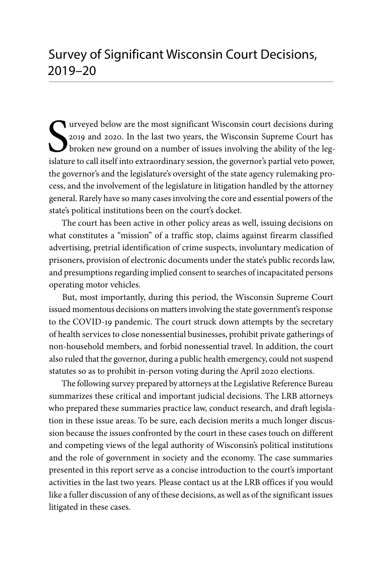S<sub>islatu</sub> urveyed below are the most significant Wisconsin court decisions during 2019 and 2020. In the last two years, the Wisconsin Supreme Court has broken new ground on a number of issues involving the ability of the legislature to call itself into extraordinary session, the governor's partial veto power, the governor's and the legislature's oversight of the state agency rulemaking process, and the involvement of the legislature in litigation handled by the attorney general. Rarely have so many cases involving the core and essential powers of the state's political institutions been on the court's docket.

The court has been active in other policy areas as well, issuing decisions on what constitutes a "mission" of a traffic stop, claims against firearm classified advertising, pretrial identification of crime suspects, involuntary medication of prisoners, provision of electronic documents under the state's public records law, and presumptions regarding implied consent to searches of incapacitated persons operating motor vehicles.

But, most importantly, during this period, the Wisconsin Supreme Court issued momentous decisions on matters involving the state government's response to the COVID-19 pandemic. The court struck down attempts by the secretary of health services to close nonessential businesses, prohibit private gatherings of non-household members, and forbid nonessential travel. In addition, the court also ruled that the governor, during a public health emergency, could not suspend statutes so as to prohibit in-person voting during the April 2020 elections.

The following survey prepared by attorneys at the Legislative Reference Bureau summarizes these critical and important judicial decisions. The LRB attorneys who prepared these summaries practice law, conduct research, and draft legislation in these issue areas. To be sure, each decision merits a much longer discussion because the issues confronted by the court in these cases touch on different and competing views of the legal authority of Wisconsin's political institutions and the role of government in society and the economy. The case summaries presented in this report serve as a concise introduction to the court's important activities in the last two years. Please contact us at the LRB offices if you would like a fuller discussion of any of these decisions, as well as of the significant issues litigated in these cases.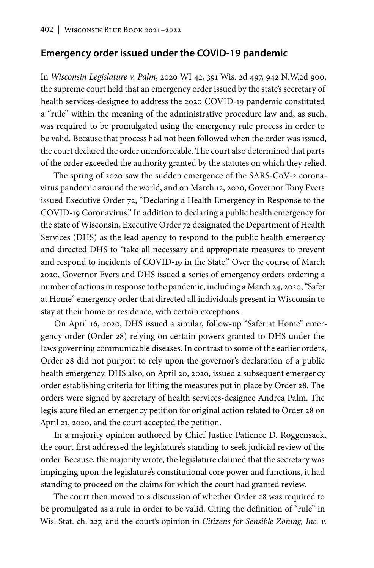### **Emergency order issued under the COVID-19 pandemic**

In *Wisconsin Legislature v. Palm*, 2020 WI 42, 391 Wis. 2d 497, 942 N.W.2d 900, the supreme court held that an emergency order issued by the state's secretary of health services-designee to address the 2020 COVID-19 pandemic constituted a "rule" within the meaning of the administrative procedure law and, as such, was required to be promulgated using the emergency rule process in order to be valid. Because that process had not been followed when the order was issued, the court declared the order unenforceable. The court also determined that parts of the order exceeded the authority granted by the statutes on which they relied.

The spring of 2020 saw the sudden emergence of the SARS-CoV-2 coronavirus pandemic around the world, and on March 12, 2020, Governor Tony Evers issued Executive Order 72, "Declaring a Health Emergency in Response to the COVID-19 Coronavirus." In addition to declaring a public health emergency for the state of Wisconsin, Executive Order 72 designated the Department of Health Services (DHS) as the lead agency to respond to the public health emergency and directed DHS to "take all necessary and appropriate measures to prevent and respond to incidents of COVID-19 in the State." Over the course of March 2020, Governor Evers and DHS issued a series of emergency orders ordering a number of actions in response to the pandemic, including a March 24, 2020, "Safer at Home" emergency order that directed all individuals present in Wisconsin to stay at their home or residence, with certain exceptions.

On April 16, 2020, DHS issued a similar, follow-up "Safer at Home" emergency order (Order 28) relying on certain powers granted to DHS under the laws governing communicable diseases. In contrast to some of the earlier orders, Order 28 did not purport to rely upon the governor's declaration of a public health emergency. DHS also, on April 20, 2020, issued a subsequent emergency order establishing criteria for lifting the measures put in place by Order 28. The orders were signed by secretary of health services-designee Andrea Palm. The legislature filed an emergency petition for original action related to Order 28 on April 21, 2020, and the court accepted the petition.

In a majority opinion authored by Chief Justice Patience D. Roggensack, the court first addressed the legislature's standing to seek judicial review of the order. Because, the majority wrote, the legislature claimed that the secretary was impinging upon the legislature's constitutional core power and functions, it had standing to proceed on the claims for which the court had granted review.

The court then moved to a discussion of whether Order 28 was required to be promulgated as a rule in order to be valid. Citing the definition of "rule" in Wis. Stat. ch. 227, and the court's opinion in *Citizens for Sensible Zoning, Inc. v.*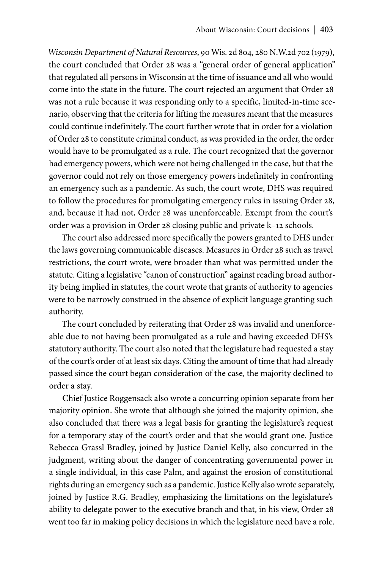*Wisconsin Department of Natural Resources*, 90 Wis. 2d 804, 280 N.W.2d 702 (1979), the court concluded that Order 28 was a "general order of general application" that regulated all persons in Wisconsin at the time of issuance and all who would come into the state in the future. The court rejected an argument that Order 28 was not a rule because it was responding only to a specific, limited-in-time scenario, observing that the criteria for lifting the measures meant that the measures could continue indefinitely. The court further wrote that in order for a violation of Order 28 to constitute criminal conduct, as was provided in the order, the order would have to be promulgated as a rule. The court recognized that the governor had emergency powers, which were not being challenged in the case, but that the governor could not rely on those emergency powers indefinitely in confronting an emergency such as a pandemic. As such, the court wrote, DHS was required to follow the procedures for promulgating emergency rules in issuing Order 28, and, because it had not, Order 28 was unenforceable. Exempt from the court's order was a provision in Order 28 closing public and private k–12 schools.

The court also addressed more specifically the powers granted to DHS under the laws governing communicable diseases. Measures in Order 28 such as travel restrictions, the court wrote, were broader than what was permitted under the statute. Citing a legislative "canon of construction" against reading broad authority being implied in statutes, the court wrote that grants of authority to agencies were to be narrowly construed in the absence of explicit language granting such authority.

The court concluded by reiterating that Order 28 was invalid and unenforceable due to not having been promulgated as a rule and having exceeded DHS's statutory authority. The court also noted that the legislature had requested a stay of the court's order of at least six days. Citing the amount of time that had already passed since the court began consideration of the case, the majority declined to order a stay.

Chief Justice Roggensack also wrote a concurring opinion separate from her majority opinion. She wrote that although she joined the majority opinion, she also concluded that there was a legal basis for granting the legislature's request for a temporary stay of the court's order and that she would grant one. Justice Rebecca Grassl Bradley, joined by Justice Daniel Kelly, also concurred in the judgment, writing about the danger of concentrating governmental power in a single individual, in this case Palm, and against the erosion of constitutional rights during an emergency such as a pandemic. Justice Kelly also wrote separately, joined by Justice R.G. Bradley, emphasizing the limitations on the legislature's ability to delegate power to the executive branch and that, in his view, Order 28 went too far in making policy decisions in which the legislature need have a role.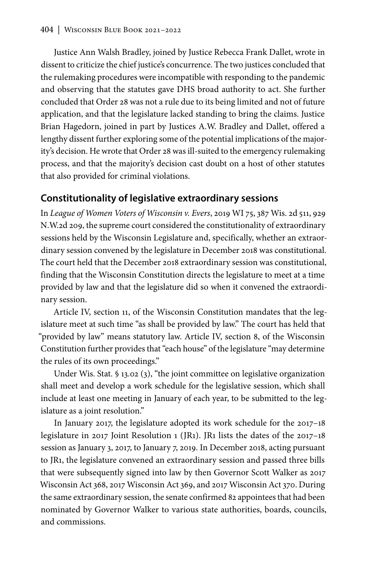Justice Ann Walsh Bradley, joined by Justice Rebecca Frank Dallet, wrote in dissent to criticize the chief justice's concurrence. The two justices concluded that the rulemaking procedures were incompatible with responding to the pandemic and observing that the statutes gave DHS broad authority to act. She further concluded that Order 28 was not a rule due to its being limited and not of future application, and that the legislature lacked standing to bring the claims. Justice Brian Hagedorn, joined in part by Justices A.W. Bradley and Dallet, offered a lengthy dissent further exploring some of the potential implications of the majority's decision. He wrote that Order 28 was ill-suited to the emergency rulemaking process, and that the majority's decision cast doubt on a host of other statutes that also provided for criminal violations.

### **Constitutionality of legislative extraordinary sessions**

In *League of Women Voters of Wisconsin v. Evers*, 2019 WI 75, 387 Wis. 2d 511, 929 N.W.2d 209, the supreme court considered the constitutionality of extraordinary sessions held by the Wisconsin Legislature and, specifically, whether an extraordinary session convened by the legislature in December 2018 was constitutional. The court held that the December 2018 extraordinary session was constitutional, finding that the Wisconsin Constitution directs the legislature to meet at a time provided by law and that the legislature did so when it convened the extraordinary session.

Article IV, section 11, of the Wisconsin Constitution mandates that the legislature meet at such time "as shall be provided by law." The court has held that "provided by law" means statutory law. Article IV, section 8, of the Wisconsin Constitution further provides that "each house" of the legislature "may determine the rules of its own proceedings."

Under Wis. Stat. § 13.02 (3), "the joint committee on legislative organization shall meet and develop a work schedule for the legislative session, which shall include at least one meeting in January of each year, to be submitted to the legislature as a joint resolution."

In January 2017, the legislature adopted its work schedule for the 2017–18 legislature in 2017 Joint Resolution 1 (JR1). JR1 lists the dates of the 2017–18 session as January 3, 2017, to January 7, 2019. In December 2018, acting pursuant to JR1, the legislature convened an extraordinary session and passed three bills that were subsequently signed into law by then Governor Scott Walker as 2017 Wisconsin Act 368, 2017 Wisconsin Act 369, and 2017 Wisconsin Act 370. During the same extraordinary session, the senate confirmed 82 appointees that had been nominated by Governor Walker to various state authorities, boards, councils, and commissions.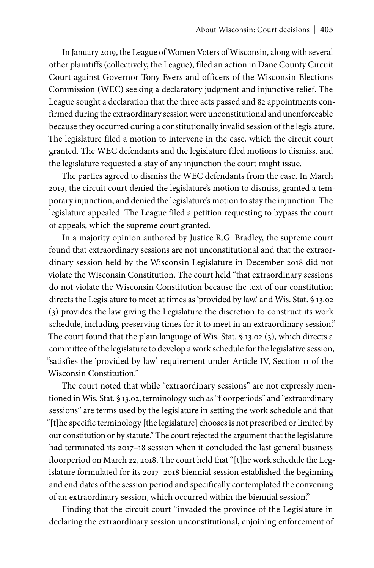In January 2019, the League of Women Voters of Wisconsin, along with several other plaintiffs (collectively, the League), filed an action in Dane County Circuit Court against Governor Tony Evers and officers of the Wisconsin Elections Commission (WEC) seeking a declaratory judgment and injunctive relief. The League sought a declaration that the three acts passed and 82 appointments confirmed during the extraordinary session were unconstitutional and unenforceable because they occurred during a constitutionally invalid session of the legislature. The legislature filed a motion to intervene in the case, which the circuit court granted. The WEC defendants and the legislature filed motions to dismiss, and the legislature requested a stay of any injunction the court might issue.

The parties agreed to dismiss the WEC defendants from the case. In March 2019, the circuit court denied the legislature's motion to dismiss, granted a temporary injunction, and denied the legislature's motion to stay the injunction. The legislature appealed. The League filed a petition requesting to bypass the court of appeals, which the supreme court granted.

In a majority opinion authored by Justice R.G. Bradley, the supreme court found that extraordinary sessions are not unconstitutional and that the extraordinary session held by the Wisconsin Legislature in December 2018 did not violate the Wisconsin Constitution. The court held "that extraordinary sessions do not violate the Wisconsin Constitution because the text of our constitution directs the Legislature to meet at times as 'provided by law,' and Wis. Stat. § 13.02 (3) provides the law giving the Legislature the discretion to construct its work schedule, including preserving times for it to meet in an extraordinary session." The court found that the plain language of Wis. Stat. § 13.02 (3), which directs a committee of the legislature to develop a work schedule for the legislative session, "satisfies the 'provided by law' requirement under Article IV, Section 11 of the Wisconsin Constitution."

The court noted that while "extraordinary sessions" are not expressly mentioned in Wis. Stat. § 13.02, terminology such as "floorperiods" and "extraordinary sessions" are terms used by the legislature in setting the work schedule and that "[t]he specific terminology [the legislature] chooses is not prescribed or limited by our constitution or by statute." The court rejected the argument that the legislature had terminated its 2017-18 session when it concluded the last general business floorperiod on March 22, 2018. The court held that "[t]he work schedule the Legislature formulated for its 2017–2018 biennial session established the beginning and end dates of the session period and specifically contemplated the convening of an extraordinary session, which occurred within the biennial session."

Finding that the circuit court "invaded the province of the Legislature in declaring the extraordinary session unconstitutional, enjoining enforcement of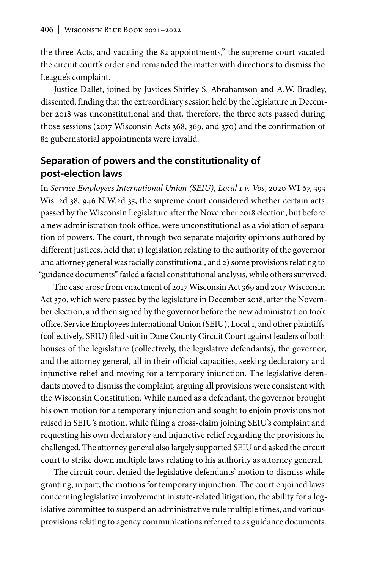the three Acts, and vacating the 82 appointments," the supreme court vacated the circuit court's order and remanded the matter with directions to dismiss the League's complaint.

Justice Dallet, joined by Justices Shirley S. Abrahamson and A.W. Bradley, dissented, finding that the extraordinary session held by the legislature in December 2018 was unconstitutional and that, therefore, the three acts passed during those sessions (2017 Wisconsin Acts 368, 369, and 370) and the confirmation of 82 gubernatorial appointments were invalid.

### **Separation of powers and the constitutionality of post-election laws**

In *Service Employees International Union (SEIU), Local 1 v. Vos*, 2020 WI 67, 393 Wis. 2d 38, 946 N.W.2d 35, the supreme court considered whether certain acts passed by the Wisconsin Legislature after the November 2018 election, but before a new administration took office, were unconstitutional as a violation of separation of powers. The court, through two separate majority opinions authored by different justices, held that 1) legislation relating to the authority of the governor and attorney general was facially constitutional, and 2) some provisions relating to "guidance documents" failed a facial constitutional analysis, while others survived.

The case arose from enactment of 2017 Wisconsin Act 369 and 2017 Wisconsin Act 370, which were passed by the legislature in December 2018, after the November election, and then signed by the governor before the new administration took office. Service Employees International Union (SEIU), Local 1, and other plaintiffs (collectively, SEIU) filed suit in Dane County Circuit Court against leaders of both houses of the legislature (collectively, the legislative defendants), the governor, and the attorney general, all in their official capacities, seeking declaratory and injunctive relief and moving for a temporary injunction. The legislative defendants moved to dismiss the complaint, arguing all provisions were consistent with the Wisconsin Constitution. While named as a defendant, the governor brought his own motion for a temporary injunction and sought to enjoin provisions not raised in SEIU's motion, while filing a cross-claim joining SEIU's complaint and requesting his own declaratory and injunctive relief regarding the provisions he challenged. The attorney general also largely supported SEIU and asked the circuit court to strike down multiple laws relating to his authority as attorney general.

The circuit court denied the legislative defendants' motion to dismiss while granting, in part, the motions for temporary injunction. The court enjoined laws concerning legislative involvement in state-related litigation, the ability for a legislative committee to suspend an administrative rule multiple times, and various provisions relating to agency communications referred to as guidance documents.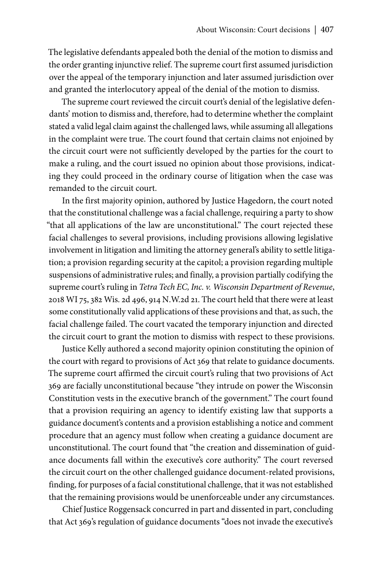The legislative defendants appealed both the denial of the motion to dismiss and the order granting injunctive relief. The supreme court first assumed jurisdiction over the appeal of the temporary injunction and later assumed jurisdiction over and granted the interlocutory appeal of the denial of the motion to dismiss.

The supreme court reviewed the circuit court's denial of the legislative defendants' motion to dismiss and, therefore, had to determine whether the complaint stated a valid legal claim against the challenged laws, while assuming all allegations in the complaint were true. The court found that certain claims not enjoined by the circuit court were not sufficiently developed by the parties for the court to make a ruling, and the court issued no opinion about those provisions, indicating they could proceed in the ordinary course of litigation when the case was remanded to the circuit court.

In the first majority opinion, authored by Justice Hagedorn, the court noted that the constitutional challenge was a facial challenge, requiring a party to show "that all applications of the law are unconstitutional." The court rejected these facial challenges to several provisions, including provisions allowing legislative involvement in litigation and limiting the attorney general's ability to settle litigation; a provision regarding security at the capitol; a provision regarding multiple suspensions of administrative rules; and finally, a provision partially codifying the supreme court's ruling in *Tetra Tech EC, Inc. v. Wisconsin Department of Revenue*, 2018 WI 75, 382 Wis. 2d 496, 914 N.W.2d 21. The court held that there were at least some constitutionally valid applications of these provisions and that, as such, the facial challenge failed. The court vacated the temporary injunction and directed the circuit court to grant the motion to dismiss with respect to these provisions.

Justice Kelly authored a second majority opinion constituting the opinion of the court with regard to provisions of Act 369 that relate to guidance documents. The supreme court affirmed the circuit court's ruling that two provisions of Act 369 are facially unconstitutional because "they intrude on power the Wisconsin Constitution vests in the executive branch of the government." The court found that a provision requiring an agency to identify existing law that supports a guidance document's contents and a provision establishing a notice and comment procedure that an agency must follow when creating a guidance document are unconstitutional. The court found that "the creation and dissemination of guidance documents fall within the executive's core authority." The court reversed the circuit court on the other challenged guidance document-related provisions, finding, for purposes of a facial constitutional challenge, that it was not established that the remaining provisions would be unenforceable under any circumstances.

Chief Justice Roggensack concurred in part and dissented in part, concluding that Act 369's regulation of guidance documents "does not invade the executive's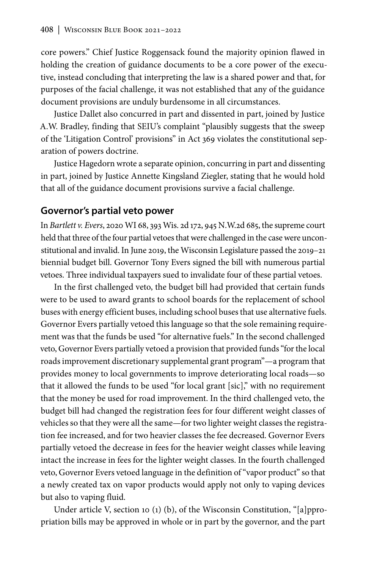core powers." Chief Justice Roggensack found the majority opinion flawed in holding the creation of guidance documents to be a core power of the executive, instead concluding that interpreting the law is a shared power and that, for purposes of the facial challenge, it was not established that any of the guidance document provisions are unduly burdensome in all circumstances.

Justice Dallet also concurred in part and dissented in part, joined by Justice A.W. Bradley, finding that SEIU's complaint "plausibly suggests that the sweep of the 'Litigation Control' provisions" in Act 369 violates the constitutional separation of powers doctrine.

Justice Hagedorn wrote a separate opinion, concurring in part and dissenting in part, joined by Justice Annette Kingsland Ziegler, stating that he would hold that all of the guidance document provisions survive a facial challenge.

#### **Governor's partial veto power**

In *Bartlett v. Evers*, 2020 WI 68, 393 Wis. 2d 172, 945 N.W.2d 685, the supreme court held that three of the four partial vetoes that were challenged in the case were unconstitutional and invalid. In June 2019, the Wisconsin Legislature passed the 2019–21 biennial budget bill. Governor Tony Evers signed the bill with numerous partial vetoes. Three individual taxpayers sued to invalidate four of these partial vetoes.

In the first challenged veto, the budget bill had provided that certain funds were to be used to award grants to school boards for the replacement of school buses with energy efficient buses, including school buses that use alternative fuels. Governor Evers partially vetoed this language so that the sole remaining requirement was that the funds be used "for alternative fuels." In the second challenged veto, Governor Evers partially vetoed a provision that provided funds "for the local roads improvement discretionary supplemental grant program"—a program that provides money to local governments to improve deteriorating local roads—so that it allowed the funds to be used "for local grant [sic]," with no requirement that the money be used for road improvement. In the third challenged veto, the budget bill had changed the registration fees for four different weight classes of vehicles so that they were all the same—for two lighter weight classes the registration fee increased, and for two heavier classes the fee decreased. Governor Evers partially vetoed the decrease in fees for the heavier weight classes while leaving intact the increase in fees for the lighter weight classes. In the fourth challenged veto, Governor Evers vetoed language in the definition of "vapor product" so that a newly created tax on vapor products would apply not only to vaping devices but also to vaping fluid.

Under article V, section 10 (1) (b), of the Wisconsin Constitution, "[a]ppropriation bills may be approved in whole or in part by the governor, and the part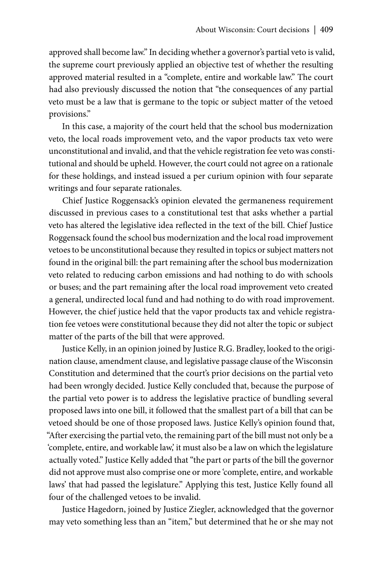approved shall become law." In deciding whether a governor's partial veto is valid, the supreme court previously applied an objective test of whether the resulting approved material resulted in a "complete, entire and workable law." The court had also previously discussed the notion that "the consequences of any partial veto must be a law that is germane to the topic or subject matter of the vetoed provisions."

In this case, a majority of the court held that the school bus modernization veto, the local roads improvement veto, and the vapor products tax veto were unconstitutional and invalid, and that the vehicle registration fee veto was constitutional and should be upheld. However, the court could not agree on a rationale for these holdings, and instead issued a per curium opinion with four separate writings and four separate rationales.

Chief Justice Roggensack's opinion elevated the germaneness requirement discussed in previous cases to a constitutional test that asks whether a partial veto has altered the legislative idea reflected in the text of the bill. Chief Justice Roggensack found the school bus modernization and the local road improvement vetoes to be unconstitutional because they resulted in topics or subject matters not found in the original bill: the part remaining after the school bus modernization veto related to reducing carbon emissions and had nothing to do with schools or buses; and the part remaining after the local road improvement veto created a general, undirected local fund and had nothing to do with road improvement. However, the chief justice held that the vapor products tax and vehicle registration fee vetoes were constitutional because they did not alter the topic or subject matter of the parts of the bill that were approved.

Justice Kelly, in an opinion joined by Justice R.G. Bradley, looked to the origination clause, amendment clause, and legislative passage clause of the Wisconsin Constitution and determined that the court's prior decisions on the partial veto had been wrongly decided. Justice Kelly concluded that, because the purpose of the partial veto power is to address the legislative practice of bundling several proposed laws into one bill, it followed that the smallest part of a bill that can be vetoed should be one of those proposed laws. Justice Kelly's opinion found that, "After exercising the partial veto, the remaining part of the bill must not only be a 'complete, entire, and workable law,' it must also be a law on which the legislature actually voted." Justice Kelly added that "the part or parts of the bill the governor did not approve must also comprise one or more 'complete, entire, and workable laws' that had passed the legislature." Applying this test, Justice Kelly found all four of the challenged vetoes to be invalid.

Justice Hagedorn, joined by Justice Ziegler, acknowledged that the governor may veto something less than an "item," but determined that he or she may not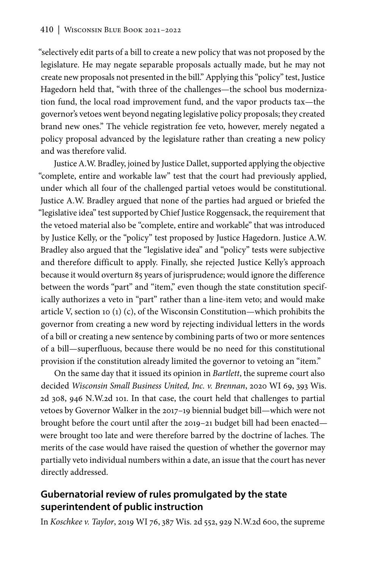"selectively edit parts of a bill to create a new policy that was not proposed by the legislature. He may negate separable proposals actually made, but he may not create new proposals not presented in the bill." Applying this "policy" test, Justice Hagedorn held that, "with three of the challenges—the school bus modernization fund, the local road improvement fund, and the vapor products tax—the governor's vetoes went beyond negating legislative policy proposals; they created brand new ones." The vehicle registration fee veto, however, merely negated a policy proposal advanced by the legislature rather than creating a new policy and was therefore valid.

Justice A.W. Bradley, joined by Justice Dallet, supported applying the objective "complete, entire and workable law" test that the court had previously applied, under which all four of the challenged partial vetoes would be constitutional. Justice A.W. Bradley argued that none of the parties had argued or briefed the "legislative idea" test supported by Chief Justice Roggensack, the requirement that the vetoed material also be "complete, entire and workable" that was introduced by Justice Kelly, or the "policy" test proposed by Justice Hagedorn. Justice A.W. Bradley also argued that the "legislative idea" and "policy" tests were subjective and therefore difficult to apply. Finally, she rejected Justice Kelly's approach because it would overturn 85 years of jurisprudence; would ignore the difference between the words "part" and "item," even though the state constitution specifically authorizes a veto in "part" rather than a line-item veto; and would make article V, section 10 (1) (c), of the Wisconsin Constitution—which prohibits the governor from creating a new word by rejecting individual letters in the words of a bill or creating a new sentence by combining parts of two or more sentences of a bill—superfluous, because there would be no need for this constitutional provision if the constitution already limited the governor to vetoing an "item."

On the same day that it issued its opinion in *Bartlett*, the supreme court also decided *Wisconsin Small Business United, Inc. v. Brennan*, 2020 WI 69, 393 Wis. 2d 308, 946 N.W.2d 101. In that case, the court held that challenges to partial vetoes by Governor Walker in the 2017–19 biennial budget bill—which were not brought before the court until after the 2019–21 budget bill had been enacted were brought too late and were therefore barred by the doctrine of laches. The merits of the case would have raised the question of whether the governor may partially veto individual numbers within a date, an issue that the court has never directly addressed.

## **Gubernatorial review of rules promulgated by the state superintendent of public instruction**

In *Koschkee v. Taylor*, 2019 WI 76, 387 Wis. 2d 552, 929 N.W.2d 600, the supreme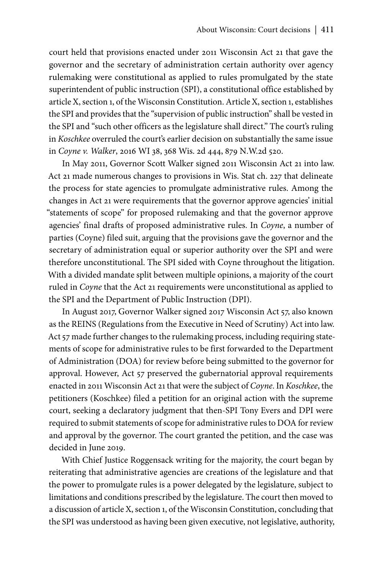court held that provisions enacted under 2011 Wisconsin Act 21 that gave the governor and the secretary of administration certain authority over agency rulemaking were constitutional as applied to rules promulgated by the state superintendent of public instruction (SPI), a constitutional office established by article X, section 1, of the Wisconsin Constitution. Article X, section 1, establishes the SPI and provides that the "supervision of public instruction" shall be vested in the SPI and "such other officers as the legislature shall direct." The court's ruling in *Koschkee* overruled the court's earlier decision on substantially the same issue in *Coyne v. Walker*, 2016 WI 38, 368 Wis. 2d 444, 879 N.W.2d 520.

In May 2011, Governor Scott Walker signed 2011 Wisconsin Act 21 into law. Act 21 made numerous changes to provisions in Wis. Stat ch. 227 that delineate the process for state agencies to promulgate administrative rules. Among the changes in Act 21 were requirements that the governor approve agencies' initial "statements of scope" for proposed rulemaking and that the governor approve agencies' final drafts of proposed administrative rules. In *Coyne*, a number of parties (Coyne) filed suit, arguing that the provisions gave the governor and the secretary of administration equal or superior authority over the SPI and were therefore unconstitutional. The SPI sided with Coyne throughout the litigation. With a divided mandate split between multiple opinions, a majority of the court ruled in *Coyne* that the Act 21 requirements were unconstitutional as applied to the SPI and the Department of Public Instruction (DPI).

In August 2017, Governor Walker signed 2017 Wisconsin Act 57, also known as the REINS (Regulations from the Executive in Need of Scrutiny) Act into law. Act 57 made further changes to the rulemaking process, including requiring statements of scope for administrative rules to be first forwarded to the Department of Administration (DOA) for review before being submitted to the governor for approval. However, Act 57 preserved the gubernatorial approval requirements enacted in 2011 Wisconsin Act 21 that were the subject of *Coyne*. In *Koschkee*, the petitioners (Koschkee) filed a petition for an original action with the supreme court, seeking a declaratory judgment that then-SPI Tony Evers and DPI were required to submit statements of scope for administrative rules to DOA for review and approval by the governor. The court granted the petition, and the case was decided in June 2019.

With Chief Justice Roggensack writing for the majority, the court began by reiterating that administrative agencies are creations of the legislature and that the power to promulgate rules is a power delegated by the legislature, subject to limitations and conditions prescribed by the legislature. The court then moved to a discussion of article X, section 1, of the Wisconsin Constitution, concluding that the SPI was understood as having been given executive, not legislative, authority,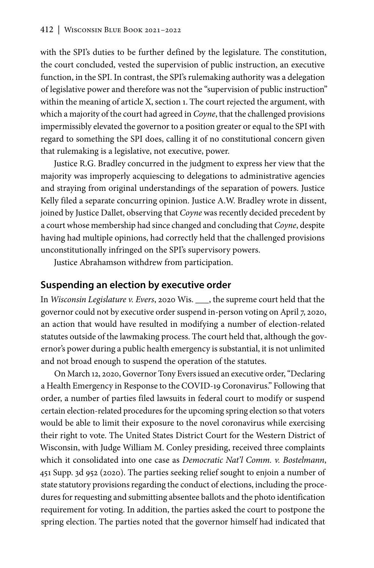with the SPI's duties to be further defined by the legislature. The constitution, the court concluded, vested the supervision of public instruction, an executive function, in the SPI. In contrast, the SPI's rulemaking authority was a delegation of legislative power and therefore was not the "supervision of public instruction" within the meaning of article X, section 1. The court rejected the argument, with which a majority of the court had agreed in *Coyne*, that the challenged provisions impermissibly elevated the governor to a position greater or equal to the SPI with regard to something the SPI does, calling it of no constitutional concern given that rulemaking is a legislative, not executive, power.

Justice R.G. Bradley concurred in the judgment to express her view that the majority was improperly acquiescing to delegations to administrative agencies and straying from original understandings of the separation of powers. Justice Kelly filed a separate concurring opinion. Justice A.W. Bradley wrote in dissent, joined by Justice Dallet, observing that *Coyne* was recently decided precedent by a court whose membership had since changed and concluding that *Coyne*, despite having had multiple opinions, had correctly held that the challenged provisions unconstitutionally infringed on the SPI's supervisory powers.

Justice Abrahamson withdrew from participation.

#### **Suspending an election by executive order**

In *Wisconsin Legislature v. Evers*, 2020 Wis. \_\_\_, the supreme court held that the governor could not by executive order suspend in-person voting on April 7, 2020, an action that would have resulted in modifying a number of election-related statutes outside of the lawmaking process. The court held that, although the governor's power during a public health emergency is substantial, it is not unlimited and not broad enough to suspend the operation of the statutes.

On March 12, 2020, Governor Tony Evers issued an executive order, "Declaring a Health Emergency in Response to the COVID-19 Coronavirus." Following that order, a number of parties filed lawsuits in federal court to modify or suspend certain election-related procedures for the upcoming spring election so that voters would be able to limit their exposure to the novel coronavirus while exercising their right to vote. The United States District Court for the Western District of Wisconsin, with Judge William M. Conley presiding, received three complaints which it consolidated into one case as *Democratic Nat'l Comm. v. Bostelmann*, 451 Supp. 3d 952 (2020). The parties seeking relief sought to enjoin a number of state statutory provisions regarding the conduct of elections, including the procedures for requesting and submitting absentee ballots and the photo identification requirement for voting. In addition, the parties asked the court to postpone the spring election. The parties noted that the governor himself had indicated that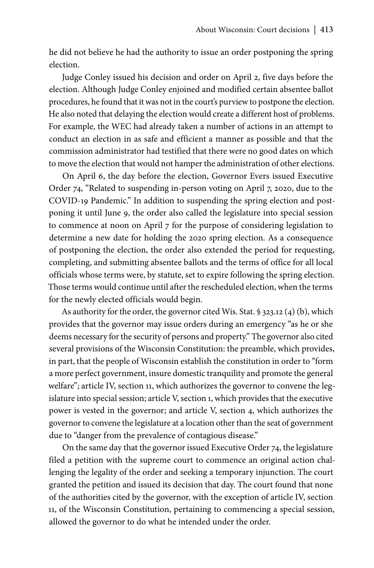he did not believe he had the authority to issue an order postponing the spring election.

Judge Conley issued his decision and order on April 2, five days before the election. Although Judge Conley enjoined and modified certain absentee ballot procedures, he found that it was not in the court's purview to postpone the election. He also noted that delaying the election would create a different host of problems. For example, the WEC had already taken a number of actions in an attempt to conduct an election in as safe and efficient a manner as possible and that the commission administrator had testified that there were no good dates on which to move the election that would not hamper the administration of other elections.

On April 6, the day before the election, Governor Evers issued Executive Order 74, "Related to suspending in-person voting on April 7, 2020, due to the COVID-19 Pandemic." In addition to suspending the spring election and postponing it until June 9, the order also called the legislature into special session to commence at noon on April 7 for the purpose of considering legislation to determine a new date for holding the 2020 spring election. As a consequence of postponing the election, the order also extended the period for requesting, completing, and submitting absentee ballots and the terms of office for all local officials whose terms were, by statute, set to expire following the spring election. Those terms would continue until after the rescheduled election, when the terms for the newly elected officials would begin.

As authority for the order, the governor cited Wis. Stat. § 323.12 (4) (b), which provides that the governor may issue orders during an emergency "as he or she deems necessary for the security of persons and property." The governor also cited several provisions of the Wisconsin Constitution: the preamble, which provides, in part, that the people of Wisconsin establish the constitution in order to "form a more perfect government, insure domestic tranquility and promote the general welfare"; article IV, section 11, which authorizes the governor to convene the legislature into special session; article V, section 1, which provides that the executive power is vested in the governor; and article V, section 4, which authorizes the governor to convene the legislature at a location other than the seat of government due to "danger from the prevalence of contagious disease."

On the same day that the governor issued Executive Order 74, the legislature filed a petition with the supreme court to commence an original action challenging the legality of the order and seeking a temporary injunction. The court granted the petition and issued its decision that day. The court found that none of the authorities cited by the governor, with the exception of article IV, section 11, of the Wisconsin Constitution, pertaining to commencing a special session, allowed the governor to do what he intended under the order.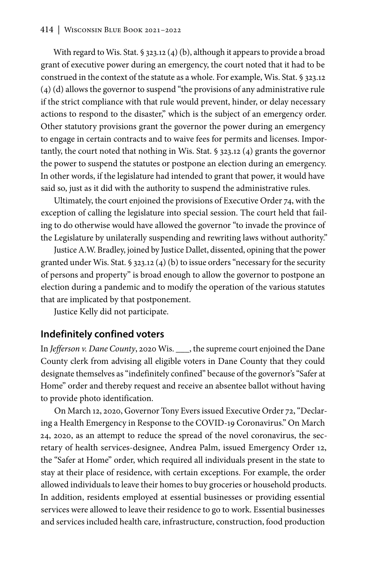With regard to Wis. Stat. § 323.12 (4) (b), although it appears to provide a broad grant of executive power during an emergency, the court noted that it had to be construed in the context of the statute as a whole. For example, Wis. Stat. § 323.12 (4) (d) allows the governor to suspend "the provisions of any administrative rule if the strict compliance with that rule would prevent, hinder, or delay necessary actions to respond to the disaster," which is the subject of an emergency order. Other statutory provisions grant the governor the power during an emergency to engage in certain contracts and to waive fees for permits and licenses. Importantly, the court noted that nothing in Wis. Stat. § 323.12 (4) grants the governor the power to suspend the statutes or postpone an election during an emergency. In other words, if the legislature had intended to grant that power, it would have said so, just as it did with the authority to suspend the administrative rules.

Ultimately, the court enjoined the provisions of Executive Order 74, with the exception of calling the legislature into special session. The court held that failing to do otherwise would have allowed the governor "to invade the province of the Legislature by unilaterally suspending and rewriting laws without authority."

Justice A.W. Bradley, joined by Justice Dallet, dissented, opining that the power granted under Wis. Stat. § 323.12 (4) (b) to issue orders "necessary for the security of persons and property" is broad enough to allow the governor to postpone an election during a pandemic and to modify the operation of the various statutes that are implicated by that postponement.

Justice Kelly did not participate.

### **Indefinitely confined voters**

In *Jefferson v. Dane County*, 2020 Wis. \_\_\_, the supreme court enjoined the Dane County clerk from advising all eligible voters in Dane County that they could designate themselves as "indefinitely confined" because of the governor's "Safer at Home" order and thereby request and receive an absentee ballot without having to provide photo identification.

On March 12, 2020, Governor Tony Evers issued Executive Order 72, "Declaring a Health Emergency in Response to the COVID-19 Coronavirus." On March 24, 2020, as an attempt to reduce the spread of the novel coronavirus, the secretary of health services-designee, Andrea Palm, issued Emergency Order 12, the "Safer at Home" order, which required all individuals present in the state to stay at their place of residence, with certain exceptions. For example, the order allowed individuals to leave their homes to buy groceries or household products. In addition, residents employed at essential businesses or providing essential services were allowed to leave their residence to go to work. Essential businesses and services included health care, infrastructure, construction, food production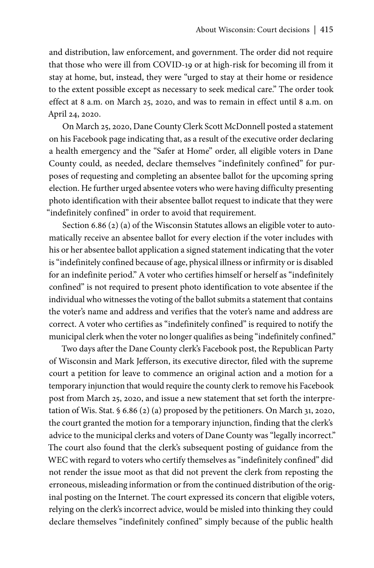and distribution, law enforcement, and government. The order did not require that those who were ill from COVID-19 or at high-risk for becoming ill from it stay at home, but, instead, they were "urged to stay at their home or residence to the extent possible except as necessary to seek medical care." The order took effect at 8 a.m. on March 25, 2020, and was to remain in effect until 8 a.m. on April 24, 2020.

On March 25, 2020, Dane County Clerk Scott McDonnell posted a statement on his Facebook page indicating that, as a result of the executive order declaring a health emergency and the "Safer at Home" order, all eligible voters in Dane County could, as needed, declare themselves "indefinitely confined" for purposes of requesting and completing an absentee ballot for the upcoming spring election. He further urged absentee voters who were having difficulty presenting photo identification with their absentee ballot request to indicate that they were "indefinitely confined" in order to avoid that requirement.

Section 6.86 (2) (a) of the Wisconsin Statutes allows an eligible voter to automatically receive an absentee ballot for every election if the voter includes with his or her absentee ballot application a signed statement indicating that the voter is "indefinitely confined because of age, physical illness or infirmity or is disabled for an indefinite period." A voter who certifies himself or herself as "indefinitely confined" is not required to present photo identification to vote absentee if the individual who witnesses the voting of the ballot submits a statement that contains the voter's name and address and verifies that the voter's name and address are correct. A voter who certifies as "indefinitely confined" is required to notify the municipal clerk when the voter no longer qualifies as being "indefinitely confined."

Two days after the Dane County clerk's Facebook post, the Republican Party of Wisconsin and Mark Jefferson, its executive director, filed with the supreme court a petition for leave to commence an original action and a motion for a temporary injunction that would require the county clerk to remove his Facebook post from March 25, 2020, and issue a new statement that set forth the interpretation of Wis. Stat. § 6.86 (2) (a) proposed by the petitioners. On March 31, 2020, the court granted the motion for a temporary injunction, finding that the clerk's advice to the municipal clerks and voters of Dane County was "legally incorrect." The court also found that the clerk's subsequent posting of guidance from the WEC with regard to voters who certify themselves as "indefinitely confined" did not render the issue moot as that did not prevent the clerk from reposting the erroneous, misleading information or from the continued distribution of the original posting on the Internet. The court expressed its concern that eligible voters, relying on the clerk's incorrect advice, would be misled into thinking they could declare themselves "indefinitely confined" simply because of the public health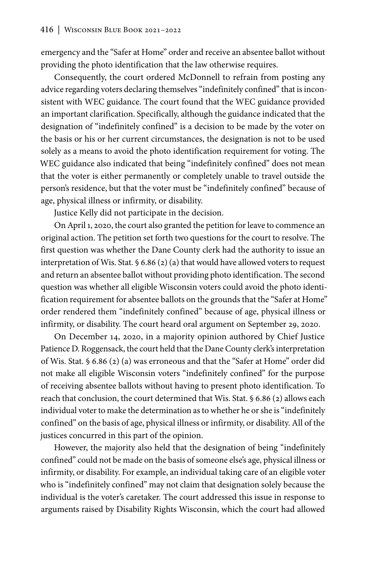emergency and the "Safer at Home" order and receive an absentee ballot without providing the photo identification that the law otherwise requires.

Consequently, the court ordered McDonnell to refrain from posting any advice regarding voters declaring themselves "indefinitely confined" that is inconsistent with WEC guidance. The court found that the WEC guidance provided an important clarification. Specifically, although the guidance indicated that the designation of "indefinitely confined" is a decision to be made by the voter on the basis or his or her current circumstances, the designation is not to be used solely as a means to avoid the photo identification requirement for voting. The WEC guidance also indicated that being "indefinitely confined" does not mean that the voter is either permanently or completely unable to travel outside the person's residence, but that the voter must be "indefinitely confined" because of age, physical illness or infirmity, or disability.

Justice Kelly did not participate in the decision.

On April 1, 2020, the court also granted the petition for leave to commence an original action. The petition set forth two questions for the court to resolve. The first question was whether the Dane County clerk had the authority to issue an interpretation of Wis. Stat. § 6.86 (2) (a) that would have allowed voters to request and return an absentee ballot without providing photo identification. The second question was whether all eligible Wisconsin voters could avoid the photo identification requirement for absentee ballots on the grounds that the "Safer at Home" order rendered them "indefinitely confined" because of age, physical illness or infirmity, or disability. The court heard oral argument on September 29, 2020.

On December 14, 2020, in a majority opinion authored by Chief Justice Patience D. Roggensack, the court held that the Dane County clerk's interpretation of Wis. Stat. § 6.86 (2) (a) was erroneous and that the "Safer at Home" order did not make all eligible Wisconsin voters "indefinitely confined" for the purpose of receiving absentee ballots without having to present photo identification. To reach that conclusion, the court determined that Wis. Stat. § 6.86 (2) allows each individual voter to make the determination as to whether he or she is "indefinitely confined" on the basis of age, physical illness or infirmity, or disability. All of the justices concurred in this part of the opinion.

However, the majority also held that the designation of being "indefinitely confined" could not be made on the basis of someone else's age, physical illness or infirmity, or disability. For example, an individual taking care of an eligible voter who is "indefinitely confined" may not claim that designation solely because the individual is the voter's caretaker. The court addressed this issue in response to arguments raised by Disability Rights Wisconsin, which the court had allowed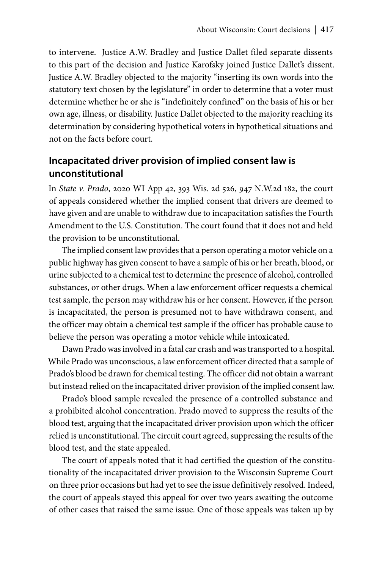to intervene. Justice A.W. Bradley and Justice Dallet filed separate dissents to this part of the decision and Justice Karofsky joined Justice Dallet's dissent. Justice A.W. Bradley objected to the majority "inserting its own words into the statutory text chosen by the legislature" in order to determine that a voter must determine whether he or she is "indefinitely confined" on the basis of his or her own age, illness, or disability. Justice Dallet objected to the majority reaching its determination by considering hypothetical voters in hypothetical situations and not on the facts before court.

# **Incapacitated driver provision of implied consent law is unconstitutional**

In *State v. Prado*, 2020 WI App 42, 393 Wis. 2d 526, 947 N.W.2d 182, the court of appeals considered whether the implied consent that drivers are deemed to have given and are unable to withdraw due to incapacitation satisfies the Fourth Amendment to the U.S. Constitution. The court found that it does not and held the provision to be unconstitutional.

The implied consent law provides that a person operating a motor vehicle on a public highway has given consent to have a sample of his or her breath, blood, or urine subjected to a chemical test to determine the presence of alcohol, controlled substances, or other drugs. When a law enforcement officer requests a chemical test sample, the person may withdraw his or her consent. However, if the person is incapacitated, the person is presumed not to have withdrawn consent, and the officer may obtain a chemical test sample if the officer has probable cause to believe the person was operating a motor vehicle while intoxicated.

Dawn Prado was involved in a fatal car crash and was transported to a hospital. While Prado was unconscious, a law enforcement officer directed that a sample of Prado's blood be drawn for chemical testing. The officer did not obtain a warrant but instead relied on the incapacitated driver provision of the implied consent law.

Prado's blood sample revealed the presence of a controlled substance and a prohibited alcohol concentration. Prado moved to suppress the results of the blood test, arguing that the incapacitated driver provision upon which the officer relied is unconstitutional. The circuit court agreed, suppressing the results of the blood test, and the state appealed.

The court of appeals noted that it had certified the question of the constitutionality of the incapacitated driver provision to the Wisconsin Supreme Court on three prior occasions but had yet to see the issue definitively resolved. Indeed, the court of appeals stayed this appeal for over two years awaiting the outcome of other cases that raised the same issue. One of those appeals was taken up by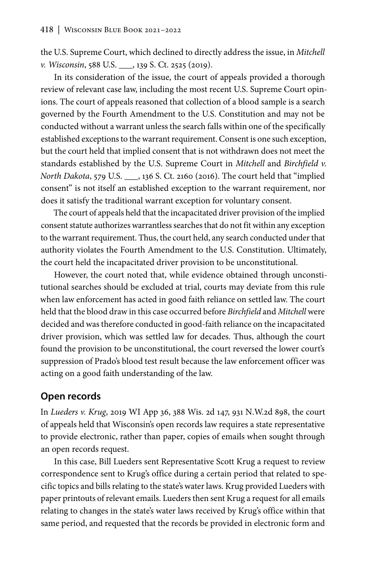the U.S. Supreme Court, which declined to directly address the issue, in *Mitchell v. Wisconsin*, 588 U.S. \_\_\_, 139 S. Ct. 2525 (2019).

In its consideration of the issue, the court of appeals provided a thorough review of relevant case law, including the most recent U.S. Supreme Court opinions. The court of appeals reasoned that collection of a blood sample is a search governed by the Fourth Amendment to the U.S. Constitution and may not be conducted without a warrant unless the search falls within one of the specifically established exceptions to the warrant requirement. Consent is one such exception, but the court held that implied consent that is not withdrawn does not meet the standards established by the U.S. Supreme Court in *Mitchell* and *Birchfield v. North Dakota*, 579 U.S. \_\_\_, 136 S. Ct. 2160 (2016). The court held that "implied consent" is not itself an established exception to the warrant requirement, nor does it satisfy the traditional warrant exception for voluntary consent.

The court of appeals held that the incapacitated driver provision of the implied consent statute authorizes warrantless searches that do not fit within any exception to the warrant requirement. Thus, the court held, any search conducted under that authority violates the Fourth Amendment to the U.S. Constitution. Ultimately, the court held the incapacitated driver provision to be unconstitutional.

However, the court noted that, while evidence obtained through unconstitutional searches should be excluded at trial, courts may deviate from this rule when law enforcement has acted in good faith reliance on settled law. The court held that the blood draw in this case occurred before *Birchfield* and *Mitchell* were decided and was therefore conducted in good-faith reliance on the incapacitated driver provision, which was settled law for decades. Thus, although the court found the provision to be unconstitutional, the court reversed the lower court's suppression of Prado's blood test result because the law enforcement officer was acting on a good faith understanding of the law.

### **Open records**

In *Lueders v. Krug*, 2019 WI App 36, 388 Wis. 2d 147, 931 N.W.2d 898, the court of appeals held that Wisconsin's open records law requires a state representative to provide electronic, rather than paper, copies of emails when sought through an open records request.

In this case, Bill Lueders sent Representative Scott Krug a request to review correspondence sent to Krug's office during a certain period that related to specific topics and bills relating to the state's water laws. Krug provided Lueders with paper printouts of relevant emails. Lueders then sent Krug a request for all emails relating to changes in the state's water laws received by Krug's office within that same period, and requested that the records be provided in electronic form and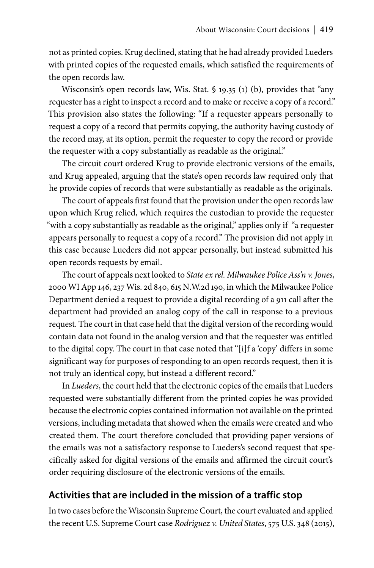not as printed copies. Krug declined, stating that he had already provided Lueders with printed copies of the requested emails, which satisfied the requirements of the open records law.

Wisconsin's open records law, Wis. Stat. § 19.35 (1) (b), provides that "any requester has a right to inspect a record and to make or receive a copy of a record." This provision also states the following: "If a requester appears personally to request a copy of a record that permits copying, the authority having custody of the record may, at its option, permit the requester to copy the record or provide the requester with a copy substantially as readable as the original."

The circuit court ordered Krug to provide electronic versions of the emails, and Krug appealed, arguing that the state's open records law required only that he provide copies of records that were substantially as readable as the originals.

The court of appeals first found that the provision under the open records law upon which Krug relied, which requires the custodian to provide the requester "with a copy substantially as readable as the original," applies only if "a requester appears personally to request a copy of a record." The provision did not apply in this case because Lueders did not appear personally, but instead submitted his open records requests by email.

The court of appeals next looked to *State ex rel. Milwaukee Police Ass'n v. Jones*, 2000 WI App 146, 237 Wis. 2d 840, 615 N.W.2d 190, in which the Milwaukee Police Department denied a request to provide a digital recording of a 911 call after the department had provided an analog copy of the call in response to a previous request. The court in that case held that the digital version of the recording would contain data not found in the analog version and that the requester was entitled to the digital copy. The court in that case noted that "[i]f a 'copy' differs in some significant way for purposes of responding to an open records request, then it is not truly an identical copy, but instead a different record."

In *Lueders*, the court held that the electronic copies of the emails that Lueders requested were substantially different from the printed copies he was provided because the electronic copies contained information not available on the printed versions, including metadata that showed when the emails were created and who created them. The court therefore concluded that providing paper versions of the emails was not a satisfactory response to Lueders's second request that specifically asked for digital versions of the emails and affirmed the circuit court's order requiring disclosure of the electronic versions of the emails.

## **Activities that are included in the mission of a traffic stop**

In two cases before the Wisconsin Supreme Court, the court evaluated and applied the recent U.S. Supreme Court case *Rodriguez v. United States*, 575 U.S. 348 (2015),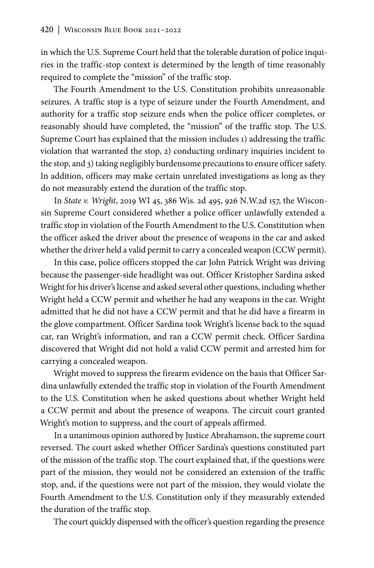in which the U.S. Supreme Court held that the tolerable duration of police inquiries in the traffic-stop context is determined by the length of time reasonably required to complete the "mission" of the traffic stop.

The Fourth Amendment to the U.S. Constitution prohibits unreasonable seizures. A traffic stop is a type of seizure under the Fourth Amendment, and authority for a traffic stop seizure ends when the police officer completes, or reasonably should have completed, the "mission" of the traffic stop. The U.S. Supreme Court has explained that the mission includes 1) addressing the traffic violation that warranted the stop, 2) conducting ordinary inquiries incident to the stop, and 3) taking negligibly burdensome precautions to ensure officer safety. In addition, officers may make certain unrelated investigations as long as they do not measurably extend the duration of the traffic stop.

In *State v. Wright*, 2019 WI 45, 386 Wis. 2d 495, 926 N.W.2d 157, the Wisconsin Supreme Court considered whether a police officer unlawfully extended a traffic stop in violation of the Fourth Amendment to the U.S. Constitution when the officer asked the driver about the presence of weapons in the car and asked whether the driver held a valid permit to carry a concealed weapon (CCW permit).

In this case, police officers stopped the car John Patrick Wright was driving because the passenger-side headlight was out. Officer Kristopher Sardina asked Wright for his driver's license and asked several other questions, including whether Wright held a CCW permit and whether he had any weapons in the car. Wright admitted that he did not have a CCW permit and that he did have a firearm in the glove compartment. Officer Sardina took Wright's license back to the squad car, ran Wright's information, and ran a CCW permit check. Officer Sardina discovered that Wright did not hold a valid CCW permit and arrested him for carrying a concealed weapon.

Wright moved to suppress the firearm evidence on the basis that Officer Sardina unlawfully extended the traffic stop in violation of the Fourth Amendment to the U.S. Constitution when he asked questions about whether Wright held a CCW permit and about the presence of weapons. The circuit court granted Wright's motion to suppress, and the court of appeals affirmed.

In a unanimous opinion authored by Justice Abrahamson, the supreme court reversed. The court asked whether Officer Sardina's questions constituted part of the mission of the traffic stop. The court explained that, if the questions were part of the mission, they would not be considered an extension of the traffic stop, and, if the questions were not part of the mission, they would violate the Fourth Amendment to the U.S. Constitution only if they measurably extended the duration of the traffic stop.

The court quickly dispensed with the officer's question regarding the presence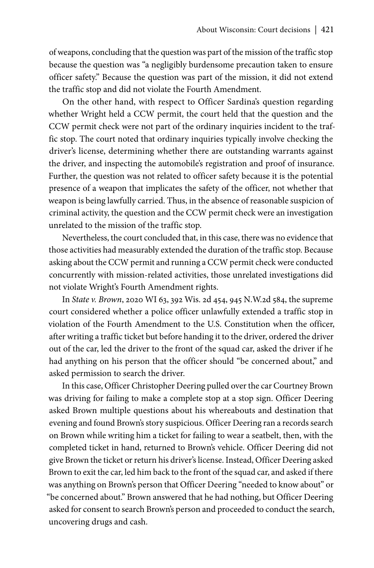of weapons, concluding that the question was part of the mission of the traffic stop because the question was "a negligibly burdensome precaution taken to ensure officer safety." Because the question was part of the mission, it did not extend the traffic stop and did not violate the Fourth Amendment.

On the other hand, with respect to Officer Sardina's question regarding whether Wright held a CCW permit, the court held that the question and the CCW permit check were not part of the ordinary inquiries incident to the traffic stop. The court noted that ordinary inquiries typically involve checking the driver's license, determining whether there are outstanding warrants against the driver, and inspecting the automobile's registration and proof of insurance. Further, the question was not related to officer safety because it is the potential presence of a weapon that implicates the safety of the officer, not whether that weapon is being lawfully carried. Thus, in the absence of reasonable suspicion of criminal activity, the question and the CCW permit check were an investigation unrelated to the mission of the traffic stop.

Nevertheless, the court concluded that, in this case, there was no evidence that those activities had measurably extended the duration of the traffic stop. Because asking about the CCW permit and running a CCW permit check were conducted concurrently with mission-related activities, those unrelated investigations did not violate Wright's Fourth Amendment rights.

In *State v. Brown*, 2020 WI 63, 392 Wis. 2d 454, 945 N.W.2d 584, the supreme court considered whether a police officer unlawfully extended a traffic stop in violation of the Fourth Amendment to the U.S. Constitution when the officer, after writing a traffic ticket but before handing it to the driver, ordered the driver out of the car, led the driver to the front of the squad car, asked the driver if he had anything on his person that the officer should "be concerned about," and asked permission to search the driver.

In this case, Officer Christopher Deering pulled over the car Courtney Brown was driving for failing to make a complete stop at a stop sign. Officer Deering asked Brown multiple questions about his whereabouts and destination that evening and found Brown's story suspicious. Officer Deering ran a records search on Brown while writing him a ticket for failing to wear a seatbelt, then, with the completed ticket in hand, returned to Brown's vehicle. Officer Deering did not give Brown the ticket or return his driver's license. Instead, Officer Deering asked Brown to exit the car, led him back to the front of the squad car, and asked if there was anything on Brown's person that Officer Deering "needed to know about" or "be concerned about." Brown answered that he had nothing, but Officer Deering asked for consent to search Brown's person and proceeded to conduct the search, uncovering drugs and cash.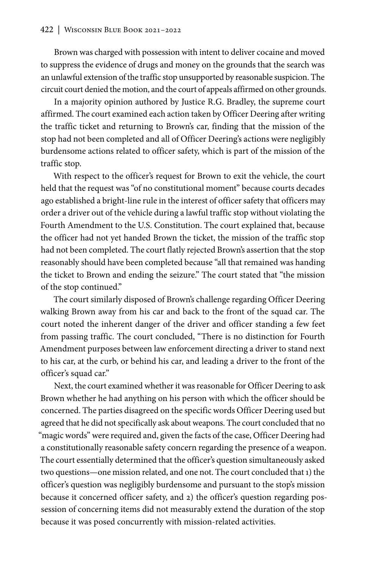Brown was charged with possession with intent to deliver cocaine and moved to suppress the evidence of drugs and money on the grounds that the search was an unlawful extension of the traffic stop unsupported by reasonable suspicion. The circuit court denied the motion, and the court of appeals affirmed on other grounds.

In a majority opinion authored by Justice R.G. Bradley, the supreme court affirmed. The court examined each action taken by Officer Deering after writing the traffic ticket and returning to Brown's car, finding that the mission of the stop had not been completed and all of Officer Deering's actions were negligibly burdensome actions related to officer safety, which is part of the mission of the traffic stop.

With respect to the officer's request for Brown to exit the vehicle, the court held that the request was "of no constitutional moment" because courts decades ago established a bright-line rule in the interest of officer safety that officers may order a driver out of the vehicle during a lawful traffic stop without violating the Fourth Amendment to the U.S. Constitution. The court explained that, because the officer had not yet handed Brown the ticket, the mission of the traffic stop had not been completed. The court flatly rejected Brown's assertion that the stop reasonably should have been completed because "all that remained was handing the ticket to Brown and ending the seizure." The court stated that "the mission of the stop continued."

The court similarly disposed of Brown's challenge regarding Officer Deering walking Brown away from his car and back to the front of the squad car. The court noted the inherent danger of the driver and officer standing a few feet from passing traffic. The court concluded, "There is no distinction for Fourth Amendment purposes between law enforcement directing a driver to stand next to his car, at the curb, or behind his car, and leading a driver to the front of the officer's squad car."

Next, the court examined whether it was reasonable for Officer Deering to ask Brown whether he had anything on his person with which the officer should be concerned. The parties disagreed on the specific words Officer Deering used but agreed that he did not specifically ask about weapons. The court concluded that no "magic words" were required and, given the facts of the case, Officer Deering had a constitutionally reasonable safety concern regarding the presence of a weapon. The court essentially determined that the officer's question simultaneously asked two questions—one mission related, and one not. The court concluded that 1) the officer's question was negligibly burdensome and pursuant to the stop's mission because it concerned officer safety, and 2) the officer's question regarding possession of concerning items did not measurably extend the duration of the stop because it was posed concurrently with mission-related activities.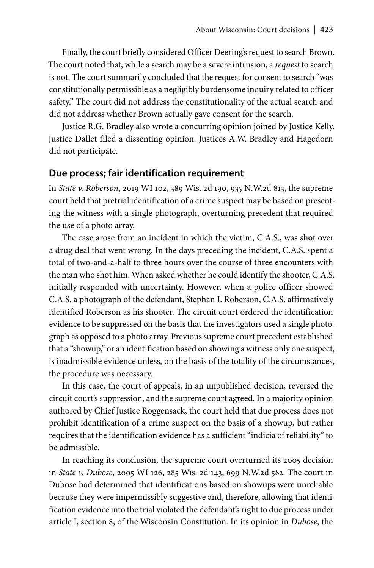Finally, the court briefly considered Officer Deering's request to search Brown. The court noted that, while a search may be a severe intrusion, a *request* to search is not. The court summarily concluded that the request for consent to search "was constitutionally permissible as a negligibly burdensome inquiry related to officer safety." The court did not address the constitutionality of the actual search and did not address whether Brown actually gave consent for the search.

Justice R.G. Bradley also wrote a concurring opinion joined by Justice Kelly. Justice Dallet filed a dissenting opinion. Justices A.W. Bradley and Hagedorn did not participate.

### **Due process; fair identification requirement**

In *State v. Roberson*, 2019 WI 102, 389 Wis. 2d 190, 935 N.W.2d 813, the supreme court held that pretrial identification of a crime suspect may be based on presenting the witness with a single photograph, overturning precedent that required the use of a photo array.

The case arose from an incident in which the victim, C.A.S., was shot over a drug deal that went wrong. In the days preceding the incident, C.A.S. spent a total of two-and-a-half to three hours over the course of three encounters with the man who shot him. When asked whether he could identify the shooter, C.A.S. initially responded with uncertainty. However, when a police officer showed C.A.S. a photograph of the defendant, Stephan I. Roberson, C.A.S. affirmatively identified Roberson as his shooter. The circuit court ordered the identification evidence to be suppressed on the basis that the investigators used a single photograph as opposed to a photo array. Previous supreme court precedent established that a "showup," or an identification based on showing a witness only one suspect, is inadmissible evidence unless, on the basis of the totality of the circumstances, the procedure was necessary.

In this case, the court of appeals, in an unpublished decision, reversed the circuit court's suppression, and the supreme court agreed. In a majority opinion authored by Chief Justice Roggensack, the court held that due process does not prohibit identification of a crime suspect on the basis of a showup, but rather requires that the identification evidence has a sufficient "indicia of reliability" to be admissible.

In reaching its conclusion, the supreme court overturned its 2005 decision in *State v. Dubose*, 2005 WI 126, 285 Wis. 2d 143, 699 N.W.2d 582. The court in Dubose had determined that identifications based on showups were unreliable because they were impermissibly suggestive and, therefore, allowing that identification evidence into the trial violated the defendant's right to due process under article I, section 8, of the Wisconsin Constitution. In its opinion in *Dubose*, the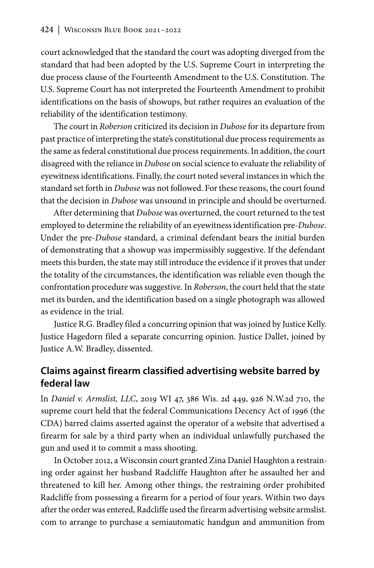court acknowledged that the standard the court was adopting diverged from the standard that had been adopted by the U.S. Supreme Court in interpreting the due process clause of the Fourteenth Amendment to the U.S. Constitution. The U.S. Supreme Court has not interpreted the Fourteenth Amendment to prohibit identifications on the basis of showups, but rather requires an evaluation of the reliability of the identification testimony.

The court in *Roberson* criticized its decision in *Dubose* for its departure from past practice of interpreting the state's constitutional due process requirements as the same as federal constitutional due process requirements. In addition, the court disagreed with the reliance in *Dubose* on social science to evaluate the reliability of eyewitness identifications. Finally, the court noted several instances in which the standard set forth in *Dubose* was not followed. For these reasons, the court found that the decision in *Dubose* was unsound in principle and should be overturned.

After determining that *Dubose* was overturned, the court returned to the test employed to determine the reliability of an eyewitness identification pre-*Dubose*. Under the pre-*Dubose* standard, a criminal defendant bears the initial burden of demonstrating that a showup was impermissibly suggestive. If the defendant meets this burden, the state may still introduce the evidence if it proves that under the totality of the circumstances, the identification was reliable even though the confrontation procedure was suggestive. In *Roberson*, the court held that the state met its burden, and the identification based on a single photograph was allowed as evidence in the trial.

Justice R.G. Bradley filed a concurring opinion that was joined by Justice Kelly. Justice Hagedorn filed a separate concurring opinion. Justice Dallet, joined by Justice A.W. Bradley, dissented.

## **Claims against firearm classified advertising website barred by federal law**

In *Daniel v. Armslist, LLC*, 2019 WI 47, 386 Wis. 2d 449, 926 N.W.2d 710, the supreme court held that the federal Communications Decency Act of 1996 (the CDA) barred claims asserted against the operator of a website that advertised a firearm for sale by a third party when an individual unlawfully purchased the gun and used it to commit a mass shooting.

In October 2012, a Wisconsin court granted Zina Daniel Haughton a restraining order against her husband Radcliffe Haughton after he assaulted her and threatened to kill her. Among other things, the restraining order prohibited Radcliffe from possessing a firearm for a period of four years. Within two days after the order was entered, Radcliffe used the firearm advertising website armslist. com to arrange to purchase a semiautomatic handgun and ammunition from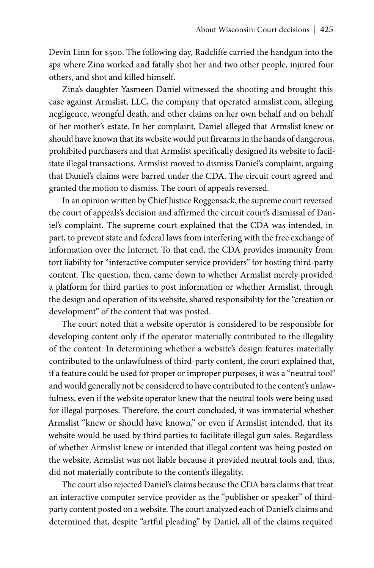Devin Linn for \$500. The following day, Radcliffe carried the handgun into the spa where Zina worked and fatally shot her and two other people, injured four others, and shot and killed himself.

Zina's daughter Yasmeen Daniel witnessed the shooting and brought this case against Armslist, LLC, the company that operated armslist.com, alleging negligence, wrongful death, and other claims on her own behalf and on behalf of her mother's estate. In her complaint, Daniel alleged that Armslist knew or should have known that its website would put firearms in the hands of dangerous, prohibited purchasers and that Armslist specifically designed its website to facilitate illegal transactions. Armslist moved to dismiss Daniel's complaint, arguing that Daniel's claims were barred under the CDA. The circuit court agreed and granted the motion to dismiss. The court of appeals reversed.

In an opinion written by Chief Justice Roggensack, the supreme court reversed the court of appeals's decision and affirmed the circuit court's dismissal of Daniel's complaint. The supreme court explained that the CDA was intended, in part, to prevent state and federal laws from interfering with the free exchange of information over the Internet. To that end, the CDA provides immunity from tort liability for "interactive computer service providers" for hosting third-party content. The question, then, came down to whether Armslist merely provided a platform for third parties to post information or whether Armslist, through the design and operation of its website, shared responsibility for the "creation or development" of the content that was posted.

The court noted that a website operator is considered to be responsible for developing content only if the operator materially contributed to the illegality of the content. In determining whether a website's design features materially contributed to the unlawfulness of third-party content, the court explained that, if a feature could be used for proper or improper purposes, it was a "neutral tool" and would generally not be considered to have contributed to the content's unlawfulness, even if the website operator knew that the neutral tools were being used for illegal purposes. Therefore, the court concluded, it was immaterial whether Armslist "knew or should have known," or even if Armslist intended, that its website would be used by third parties to facilitate illegal gun sales. Regardless of whether Armslist knew or intended that illegal content was being posted on the website, Armslist was not liable because it provided neutral tools and, thus, did not materially contribute to the content's illegality.

The court also rejected Daniel's claims because the CDA bars claims that treat an interactive computer service provider as the "publisher or speaker" of thirdparty content posted on a website. The court analyzed each of Daniel's claims and determined that, despite "artful pleading" by Daniel, all of the claims required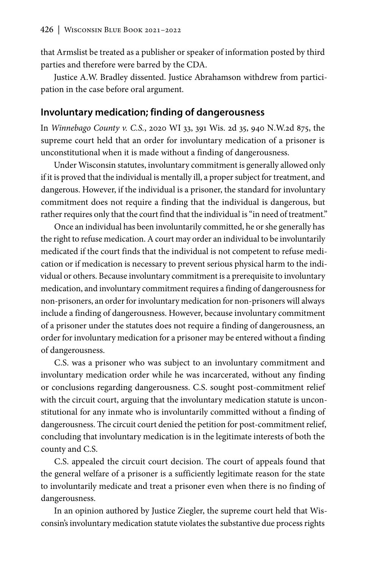that Armslist be treated as a publisher or speaker of information posted by third parties and therefore were barred by the CDA.

Justice A.W. Bradley dissented. Justice Abrahamson withdrew from participation in the case before oral argument.

#### **Involuntary medication; finding of dangerousness**

In *Winnebago County v. C.S.*, 2020 WI 33, 391 Wis. 2d 35, 940 N.W.2d 875, the supreme court held that an order for involuntary medication of a prisoner is unconstitutional when it is made without a finding of dangerousness.

Under Wisconsin statutes, involuntary commitment is generally allowed only if it is proved that the individual is mentally ill, a proper subject for treatment, and dangerous. However, if the individual is a prisoner, the standard for involuntary commitment does not require a finding that the individual is dangerous, but rather requires only that the court find that the individual is "in need of treatment."

Once an individual has been involuntarily committed, he or she generally has the right to refuse medication. A court may order an individual to be involuntarily medicated if the court finds that the individual is not competent to refuse medication or if medication is necessary to prevent serious physical harm to the individual or others. Because involuntary commitment is a prerequisite to involuntary medication, and involuntary commitment requires a finding of dangerousness for non-prisoners, an order for involuntary medication for non-prisoners will always include a finding of dangerousness. However, because involuntary commitment of a prisoner under the statutes does not require a finding of dangerousness, an order for involuntary medication for a prisoner may be entered without a finding of dangerousness.

C.S. was a prisoner who was subject to an involuntary commitment and involuntary medication order while he was incarcerated, without any finding or conclusions regarding dangerousness. C.S. sought post-commitment relief with the circuit court, arguing that the involuntary medication statute is unconstitutional for any inmate who is involuntarily committed without a finding of dangerousness. The circuit court denied the petition for post-commitment relief, concluding that involuntary medication is in the legitimate interests of both the county and C.S.

C.S. appealed the circuit court decision. The court of appeals found that the general welfare of a prisoner is a sufficiently legitimate reason for the state to involuntarily medicate and treat a prisoner even when there is no finding of dangerousness.

In an opinion authored by Justice Ziegler, the supreme court held that Wisconsin's involuntary medication statute violates the substantive due process rights